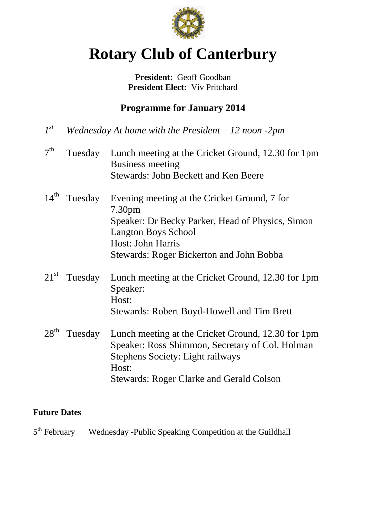

# **Rotary Club of Canterbury**

#### President: Geoff Goodban **President Elect:** Viv Pritchard

## **Programme for January 2014**

- $I^{st}$ *st Wednesday At home with the President – 12 noon -2pm*
- $7<sup>th</sup>$ Tuesday Lunch meeting at the Cricket Ground, 12.30 for 1pm Business meeting Stewards: John Beckett and Ken Beere
- 14<sup>th</sup> Tuesday Evening meeting at the Cricket Ground, 7 for 7.30pm Speaker: Dr Becky Parker, Head of Physics, Simon Langton Boys School Host: John Harris Stewards: Roger Bickerton and John Bobba
- 21<sup>st</sup> Tuesday Lunch meeting at the Cricket Ground, 12.30 for 1pm Speaker: Host: Stewards: Robert Boyd-Howell and Tim Brett
- 28<sup>th</sup> Tuesday Lunch meeting at the Cricket Ground, 12.30 for 1pm Speaker: Ross Shimmon, Secretary of Col. Holman Stephens Society: Light railways Host: Stewards: Roger Clarke and Gerald Colson

#### **Future Dates**

 $5<sup>th</sup>$  February Wednesday -Public Speaking Competition at the Guildhall